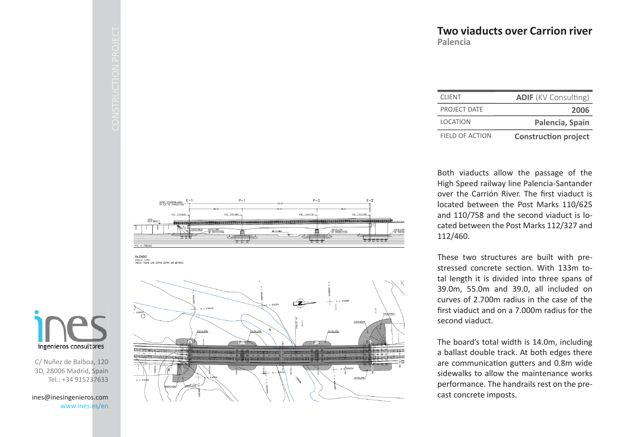| <b>CLIENT</b>          | <b>ADIF</b> (KV Consulting) |
|------------------------|-----------------------------|
| PROJECT DATE           | 2006                        |
| <b>LOCATION</b>        | Palencia, Spain             |
| <b>FIELD OF ACTION</b> | <b>Construction project</b> |

Both viaducts allow the passage of the High Speed railway line Palencia-Santander over the Carrión River. The first viaduct is located between the Post Marks 110/625 and 110/758 and the second viaduct is located between the Post Marks 112/327 and 112/460.

These two structures are built with prestressed concrete section. With 133m total length it is divided into three spans of 39.0m, 55.0m and 39.0, all included on curves of 2.700m radius in the case of the first viaduct and on a 7.000m radius for the second viaduct.

The board's total width is 14.0m, including a ballast double track. At both edges there are communication gutters and 0.8m wide sidewalks to allow the maintenance works performance. The handrails rest on the precast concrete imposts.









C/ Nuñez de Balboa, 120 3D, 28006 Madrid, Spain Tel.: +34 915237633

ines@inesingenieros.com www.ines.es/en